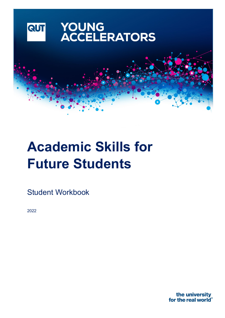

# **Academic Skills for Future Students**

Student Workbook

2022

the university for the real world<sup>®</sup>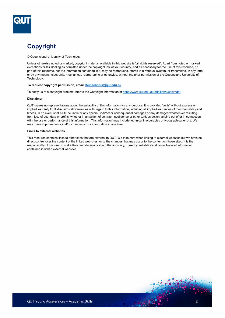

# **Copyright**

#### © Queensland University of Technology

Unless otherwise noted or marked, copyright material available in this website is "all rights reserved". Apart from noted or marked exceptions or fair dealing as permitted under the copyright law of your country, and as necessary for the use of this resource, no part of this resource, nor the information contained in it, may be reproduced, stored in a retrieval system, or transmitted, in any form or by any means, electronic, mechanical, reprographic or otherwise, without the prior permission of the Queensland University of Technology.

#### **To request copyright permission, email [stemschools@qut.edu.au](mailto:stemschools@qut.edu.au)**

To notify us of a copyright problem refer to the Copyright information at <https://www.qut.edu.au/additional/copyright>

#### **Disclaimer**

QUT makes no representations about the suitability of this information for any purpose. It is provided "as is" without express or implied warranty.QUT disclaims all warranties with regard to this information, including all implied warranties of merchantability and fitness, in no event shall QUT be liable or any special, indirect or consequential damages or any damages whatsoever resulting from loss of use, data or profits, whether in an action of contract, negligence or other tortious action, arising out of or in connection with the use or performance of this information. This information may include technical inaccuracies or typographical errors. We may make improvements and/or changes to our information at any time.

#### **Links to external websites**

This resource contains links to other sites that are external to QUT. We take care when linking to external websites but we have no direct control over the content of the linked web sites, or to the changes that may occur to the content on those sites. It is the responsibility of the user to make their own decisions about the accuracy, currency, reliability and correctness of information contained in linked external websites.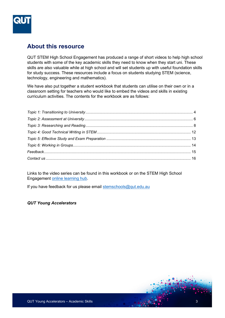

## **About this resource**

QUT STEM High School Engagement has produced a range of short videos to help high school students with some of the key academic skills they need to know when they start uni. These skills are also valuable while at high school and will set students up with useful foundation skills for study success. These resources include a focus on students studying STEM (science, technology, engineering and mathematics).

We have also put together a student workbook that students can utilise on their own or in a classroom setting for teachers who would like to embed the videos and skills in existing curriculum activities. The contents for the workbook are as follows:

Links to the video series can be found in this workbook or on the STEM High School Engagement [online learning hub.](https://www.qut.edu.au/study/career-advisers-and-teachers/stem-for-schools/stem-learning-hub/stem-online-teaching-resources/academic-skills-video-series)

If you have feedback for us please email [stemschools@qut.edu.au](mailto:stemschools@qut.edu.au) 

#### *QUT Young Accelerators*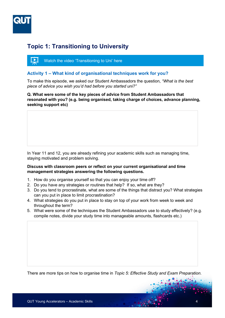

## <span id="page-3-0"></span>**Topic 1: Transitioning to University**



#### **Activity 1 – What kind of organisational techniques work for you?**

To make this episode, we asked our Student Ambassadors the question, *"What is the best piece of advice you wish you'd had before you started uni?"* 

**Q. What were some of the key pieces of advice from Student Ambassadors that resonated with you? (e.g. being organised, taking charge of choices, advance planning, seeking support etc)** 

In Year 11 and 12, you are already refining your academic skills such as managing time, staying motivated and problem solving.

#### **Discuss with classroom peers or reflect on your current organisational and time management strategies answering the following questions.**

- 1. How do you organise yourself so that you can enjoy your time off?
- 2. Do you have any strategies or routines that help? If so, what are they?
- 3. Do you tend to procrastinate, what are some of the things that distract you? What strategies can you put in place to limit procrastination?
- 4. What strategies do you put in place to stay on top of your work from week to week and throughout the term?
- 5. What were some of the techniques the Student Ambassadors use to study effectively? (e.g. compile notes, divide your study time into manageable amounts, flashcards etc.)

There are more tips on how to organise time in *Topic 5: Effective Study and Exam Preparation.*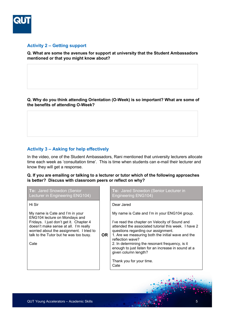

#### **Activity 2 – Getting support**

**Q. What are some the avenues for support at university that the Student Ambassadors mentioned or that you might know about?**

**Q. Why do you think attending Orientation (O-Week) is so important? What are some of the benefits of attending O-Week?**

### **Activity 3 – Asking for help effectively**

In the video, one of the Student Ambassadors, Rani mentioned that university lecturers allocate time each week as 'consultation time'. This is time when students can e-mail their lecturer and know they will get a response.

**Q. If you are emailing or talking to a lecturer or tutor which of the following approaches is better? Discuss with classroom peers or reflect on why?**

| To: Jared Snowdon (Senior<br>Lecturer in Engineering ENG104)                                                                                                                                                                                       |           | To: Jared Snowdon (Senior Lecturer in<br><b>Engineering ENG104)</b>                                                                                                                                                                                                                                                                                                                                                                           |
|----------------------------------------------------------------------------------------------------------------------------------------------------------------------------------------------------------------------------------------------------|-----------|-----------------------------------------------------------------------------------------------------------------------------------------------------------------------------------------------------------------------------------------------------------------------------------------------------------------------------------------------------------------------------------------------------------------------------------------------|
| Hi Sir                                                                                                                                                                                                                                             |           | Dear Jared                                                                                                                                                                                                                                                                                                                                                                                                                                    |
| My name is Cate and I'm in your<br>ENG104 lecture on Mondays and<br>Fridays. I just don't get it. Chapter 4<br>doesn't make sense at all. I'm really<br>worried about the assignment. I tried to<br>talk to the Tutor but he was too busy.<br>Cate | <b>OR</b> | My name is Cate and I'm in your ENG104 group.<br>I've read the chapter on Velocity of Sound and<br>attended the associated tutorial this week. I have 2<br>questions regarding our assignment.<br>1. Are we measuring both the initial wave and the<br>reflection wave?<br>2. In determining the resonant frequency, is it<br>enough to just listen for an increase in sound at a<br>given column length?<br>Thank you for your time.<br>Cate |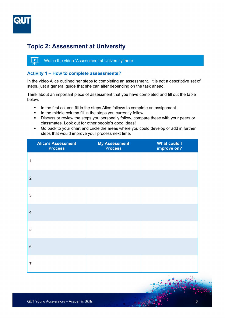

# <span id="page-5-0"></span>**Topic 2: Assessment at University**



#### **Activity 1 – How to complete assessments?**

In the video Alice outlined her steps to completing an assessment. It is not a descriptive set of steps, just a general guide that she can alter depending on the task ahead.

Think about an important piece of assessment that you have completed and fill out the table below:

- In the first column fill in the steps Alice follows to complete an assignment.
- In the middle column fill in the steps you currently follow.
- **Discuss or review the steps you personally follow, compare these with your peers or** classmates. Look out for other people's good ideas!
- Go back to your chart and circle the areas where you could develop or add in further steps that would improve your process next time.

|                | <b>Alice's Assessment</b><br><b>Process</b> | <b>My Assessment</b><br>Process | <b>What could I</b><br>improve on? |
|----------------|---------------------------------------------|---------------------------------|------------------------------------|
| 1              |                                             |                                 |                                    |
| $\overline{2}$ |                                             |                                 |                                    |
| $\mathbf{3}$   |                                             |                                 |                                    |
| $\overline{4}$ |                                             |                                 |                                    |
| $\overline{5}$ |                                             |                                 |                                    |
| $\,6\,$        |                                             |                                 |                                    |
| $\overline{7}$ |                                             |                                 |                                    |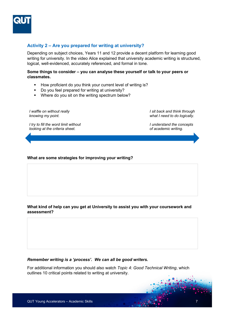

#### **Activity 2 – Are you prepared for writing at university?**

Depending on subject choices, Years 11 and 12 provide a decent platform for learning good writing for university. In the video Alice explained that university academic writing is structured, logical, well-evidenced, accurately referenced, and formal in tone.

#### **Some things to consider – you can analyse these yourself or talk to your peers or classmates.**

- How proficient do you think your current level of writing is?
- Do you feel prepared for writing at university?
- **•** Where do you sit on the writing spectrum below?

*I waffle on without really knowing my point.* 

*I sit back and think through what I need to do logically.*

*I try to fill the word limit without looking at the criteria sheet.*

*I understand the concepts of academic writing.*

#### **What are some strategies for improving your writing?**

#### **What kind of help can you get at University to assist you with your coursework and assessment?**

#### *Remember writing is a 'process'. We can all be good writers.*

For additional information you should also watch *Topic 4: Good Technical Writing*, which outlines 10 critical points related to writing at university.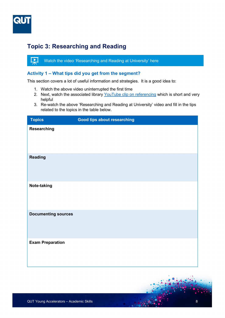

# <span id="page-7-0"></span>**Topic 3: Researching and Reading**

稟 [Watch the video 'Researching and Reading at University' here](https://youtu.be/Xsq6iBo1hDk)

#### **Activity 1 – What tips did you get from the segment?**

This section covers a lot of useful information and strategies. It is a good idea to:

- 1. Watch the above video uninterrupted the first time
- 2. Next, watch the associated library YouTube [clip on referencing](https://www.youtube.com/watch?v=1xFg7M1uabI) which is short and very helpful
- 3. Re-watch the above 'Researching and Reading at University' video and fill in the tips related to the topics in the table below.

| <b>Topics</b>              | Good tips about researching |
|----------------------------|-----------------------------|
| Researching                |                             |
| <b>Reading</b>             |                             |
| Note-taking                |                             |
| <b>Documenting sources</b> |                             |
| <b>Exam Preparation</b>    |                             |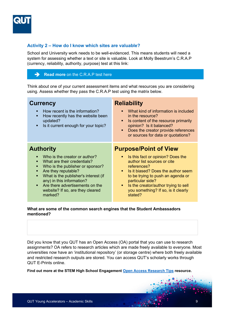

#### **Activity 2 – How do I know which sites are valuable?**

School and University work needs to be well-evidenced. This means students will need a system for assessing whether a text or site is valuable. Look at Molly Beestrum's C.R.A.P (currency, reliability, authority, purpose) test at this link:

#### **Read more** [on the C.R.A.P test here](https://ccconline.libguides.com/c.php?g=242130&p=2185475)

Think about one of your current assessment items and what resources you are considering using. Assess whether they pass the C.R.A.P test using the matrix below.

| <b>Currency</b><br>How recent is the information?<br>How recently has the website been<br>п<br>updated?<br>Is it current enough for your topic?                                                                                                                                                                           | <b>Reliability</b><br>What kind of information is included<br>$\blacksquare$<br>in the resource?<br>Is content of the resource primarily<br>٠<br>opinion? Is it balanced?<br>Does the creator provide references<br>٠<br>or sources for data or quotations?                                                                                       |
|---------------------------------------------------------------------------------------------------------------------------------------------------------------------------------------------------------------------------------------------------------------------------------------------------------------------------|---------------------------------------------------------------------------------------------------------------------------------------------------------------------------------------------------------------------------------------------------------------------------------------------------------------------------------------------------|
| <b>Authority</b><br>Who is the creator or author?<br>What are their credentials?<br>Who is the publisher or sponsor?<br>Are they reputable?<br>п<br>What is the publisher's interest (if<br>$\blacksquare$<br>any) in this information?<br>Are there advertisements on the<br>website? If so, are they cleared<br>marked? | <b>Purpose/Point of View</b><br>Is this fact or opinion? Does the<br>п<br>author list sources or cite<br>references?<br>Is it biased? Does the author seem<br>$\blacksquare$<br>to be trying to push an agenda or<br>particular side?<br>Is the creator/author trying to sell<br>$\blacksquare$<br>you something? If so, is it clearly<br>stated? |

#### **What are some of the common search engines that the Student Ambassadors mentioned?**

Did you know that you QUT has an Open Access (OA) portal that you can use to research assignments? OA refers to research articles which are made freely available to everyone. Most universities now have an 'institutional repository' (or storage centre) where both freely available and restricted research outputs are stored. You can access QUT's scholarly works through QUT E-Prints online.

**Find out more at the STEM High School Engagement [Open Access Research Tips](http://www.qut.edu.au/study/career-advisers-and-teachers/young-accelerators/stem-learning-hub/stem-online-teaching-resources/open-access-research-tips) resource.**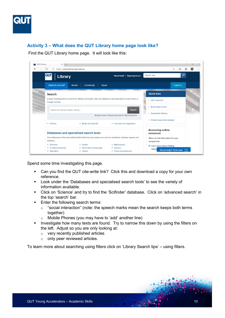

## **Activity 3 – What does the QUT Library home page look like?**

Find the QUT Library home page. It will look like this:

| QUT   Library<br>$\times$<br>$\circlearrowright$<br>A<br>$\rightarrow$ | $+$<br>https://www.library.qut.edu.au                                                                       |                                                | $\sum_{k=1}^{N}$<br>☆≡                             | ◡ |
|------------------------------------------------------------------------|-------------------------------------------------------------------------------------------------------------|------------------------------------------------|----------------------------------------------------|---|
| <b>QUT</b>                                                             | <b>Library</b>                                                                                              | Need help? Opening hours                       | ۹<br>Search site                                   |   |
| <b>Students and staff</b>                                              | <b>Community</b><br>Alumni<br>About                                                                         |                                                | Login to                                           |   |
| <b>Search</b>                                                          |                                                                                                             |                                                | <b>Quick links</b>                                 |   |
| Google Scholar.                                                        | A great starting point to search for articles and books. Also try databases and specialised search tools or |                                                | ▶ QUT citelwrite                                   |   |
|                                                                        | Search for articles, books, videos                                                                          | Search                                         | ▶ Book study rooms                                 |   |
|                                                                        |                                                                                                             | Browse items   Advanced search   My Favourites | Document delivery                                  |   |
| • Articles                                                             | • Books and ebooks                                                                                          | • Journals and magazines                       | Known issues and outages                           |   |
|                                                                        | Databases and specialised search tools                                                                      |                                                | <b>Accessing online</b><br>resources               |   |
| statistics.                                                            | Use databases to find specialised information for your study area such as standards, industry reports and   |                                                | Where to find information for your<br>assignments. |   |
| • Business                                                             | · Health                                                                                                    | • Mathematics                                  | Learn more about finding                           |   |
| • Creative Industries<br>• Education                                   | • Information technology<br>· Justice                                                                       | · Science<br>• Urban development               | inform<br>Need help? Chat now                      |   |

Spend some time investigating this page.

- Can you find the QUT cite-write link? Click this and download a copy for your own reference.
- **Look under the 'Databases and specialised search tools' to see the variety of** information available.
- Click on 'Science' and try to find the 'Scifinder' database. Click on 'advanced search' in the top 'search' bar.
- **Enter the following search terms:** 
	- o "social interaction" (note: the speech marks mean the search keeps both terms together)
	- o Mobile Phones (you may have to 'add' another line)
- Investigate how many texts are found. Try to narrow this down by using the filters on the left. Adjust so you are only looking at:
	- o very recently published articles
	- o only peer reviewed articles.

To learn more about searching using filters click on 'Library Search tips' – using filters.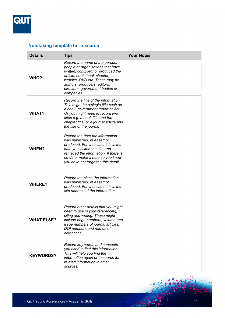

## **Notetaking template for research**

| <b>Details</b>    | <b>Tips</b>                                                                                                                                                                                                                                                     | <b>Your Notes</b> |
|-------------------|-----------------------------------------------------------------------------------------------------------------------------------------------------------------------------------------------------------------------------------------------------------------|-------------------|
| WHO?              | Record the name of the person,<br>people or organisations that have<br>written, compiled, or produced the<br>article, book, book chapter,<br>website, DVD etc. These may be<br>authors, producers, editors,<br>directors, government bodies or<br>companies.    |                   |
| <b>WHAT?</b>      | Record the title of the information.<br>This might be a single title such as<br>a book, government report or Act.<br>Or you might need to record two<br>titles e.g. a book title and the<br>chapter title, or a journal article and<br>the title of the journal |                   |
| <b>WHEN?</b>      | Record the date the information<br>was published, released or<br>produced. For websites, this is the<br>date you visited the site and<br>retrieved the information. If there is<br>no date, make a note so you know<br>you have not forgotten this detail.      |                   |
| <b>WHERE?</b>     | Record the place the information<br>was published, released of<br>produced. For websites, this is the<br>site address of the information.                                                                                                                       |                   |
| <b>WHAT ELSE?</b> | Record other details that you might<br>need to use in your referencing,<br>citing and writing. These might<br>include page numbers, volume and<br>issue numbers of journal articles,<br>DOI numbers and names of<br>databases.                                  |                   |
| <b>KEYWORDS?</b>  | Record key words and concepts<br>you used to find this information.<br>This will help you find the<br>information again or to search for<br>related information in other<br>sources.                                                                            |                   |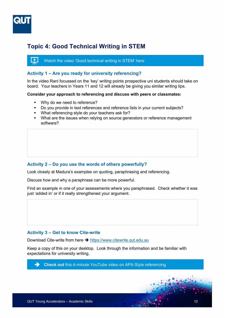

## <span id="page-11-0"></span>**Topic 4: Good Technical Writing in STEM**



#### **Activity 1 – Are you ready for university referencing?**

In the video Rani focussed on the 'key' writing points prospective uni students should take on board. Your teachers in Years 11 and 12 will already be giving you similar writing tips.

#### **Consider your approach to referencing and discuss with peers or classmates:**

- **Why do we need to reference?**
- Do you provide in text references and reference lists in your current subjects?
- **What referencing style do your teachers ask for?**
- What are the issues when relying on source generators or reference management software?

#### **Activity 2 – Do you use the words of others powerfully?**

Look closely at Madura's examples on quoting, paraphrasing and referencing.

Discuss how and why a paraphrase can be more powerful.

Find an example in one of your assessments where you paraphrased. Check whether it was just 'added in' or if it really strengthened your argument.

#### **Activity 3 – Get to know Cite-write**

Download Cite-write from here → [https://www.citewrite.qut.edu.au](https://www.citewrite.qut.edu.au/)

Keep a copy of this on your desktop. Look through the information and be familiar with expectations for university writing.

**Check out [this 4-minute YouTube video on APA Style referencing](https://www.youtube.com/watch?v=1xFg7M1uabI)**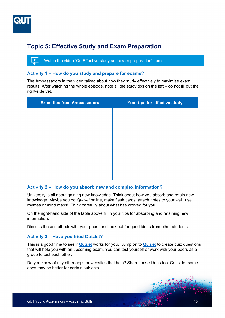

# <span id="page-12-0"></span>**Topic 5: Effective Study and Exam Preparation**

 $\overline{\blacktriangleright}$   $\overline{\blacktriangleright}$ [Watch the video 'Go Effective study and exam preparation' here](https://youtu.be/xJCtHT50uvU)

#### **Activity 1 – How do you study and prepare for exams?**

The Ambassadors in the video talked about how they study effectively to maximise exam results. After watching the whole episode, note all the study tips on the left – do not fill out the right-side yet.

| <b>Exam tips from Ambassadors</b> | Your tips for effective study |
|-----------------------------------|-------------------------------|
|                                   |                               |
|                                   |                               |
|                                   |                               |
|                                   |                               |
|                                   |                               |
|                                   |                               |
|                                   |                               |
|                                   |                               |

#### **Activity 2 – How do you absorb new and complex information?**

University is all about gaining new knowledge. Think about how you absorb and retain new knowledge. Maybe you do *Quizlet* online, make flash cards, attach notes to your wall, use rhymes or mind maps! Think carefully about what has worked for you.

On the right-hand side of the table above fill in your tips for absorbing and retaining new information.

Discuss these methods with your peers and look out for good ideas from other students.

#### **Activity 3 – Have you tried Quizlet?**

This is a good time to see if [Quizlet](https://quizlet.com/en-gb) works for you. Jump on to [Quizlet](https://quizlet.com/en-gb) to create quiz questions that will help you with an upcoming exam. You can test yourself or work with your peers as a group to test each other.

Do you know of any other apps or websites that help? Share those ideas too. Consider some apps may be better for certain subjects.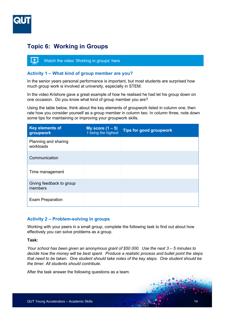

## <span id="page-13-0"></span>**Topic 6: Working in Groups**



#### **Activity 1 – What kind of group member are you?**

In the senior years personal performance is important, but most students are surprised how much group work is involved at university, especially in STEM.

In the video Krishore gave a great example of how he realised he had let his group down on one occasion. Do you know what kind of group member you are?

Using the table below, think about the key elements of groupwork listed in column one, then rate how you consider yourself as a group member in column two. In column three, note down some tips for maintaining or improving your groupwork skills.

| Key elements of<br>groupwork        | My score $(1 - 5)$<br>1 being the highest | <b>Tips for good groupwork</b> |
|-------------------------------------|-------------------------------------------|--------------------------------|
| Planning and sharing<br>workloads   |                                           |                                |
| Communication                       |                                           |                                |
| Time management                     |                                           |                                |
| Giving feedback to group<br>members |                                           |                                |
| <b>Exam Preparation</b>             |                                           |                                |

#### **Activity 2 – Problem-solving in groups**

Working with your peers in a small group, complete the following task to find out about how effectively you can solve problems as a group.

#### **Task:**

*Your school has been given an anonymous grant of \$50 000. Use the next 3 – 5 minutes to decide how the money will be best spent. Produce a realistic process and bullet point the steps that need to be taken. One student should take notes of the key steps. One student should be the timer. All students should contribute.*

After the task answer the following questions as a team.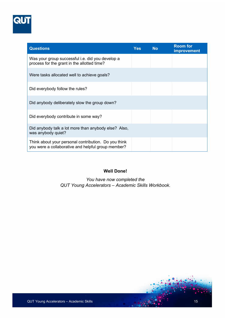

| <b>Questions</b>                                                                                           | <b>Yes</b> | <b>No</b> | <b>Room for</b><br>improvement |
|------------------------------------------------------------------------------------------------------------|------------|-----------|--------------------------------|
| Was your group successful <i>i.e.</i> did you develop a<br>process for the grant in the allotted time?     |            |           |                                |
| Were tasks allocated well to achieve goals?                                                                |            |           |                                |
| Did everybody follow the rules?                                                                            |            |           |                                |
| Did anybody deliberately slow the group down?                                                              |            |           |                                |
| Did everybody contribute in some way?                                                                      |            |           |                                |
| Did anybody talk a lot more than anybody else? Also,<br>was anybody quiet?                                 |            |           |                                |
| Think about your personal contribution. Do you think<br>you were a collaborative and helpful group member? |            |           |                                |

## **Well Done!**

<span id="page-14-0"></span>*You have now completed the QUT Young Accelerators – Academic Skills Workbook.*